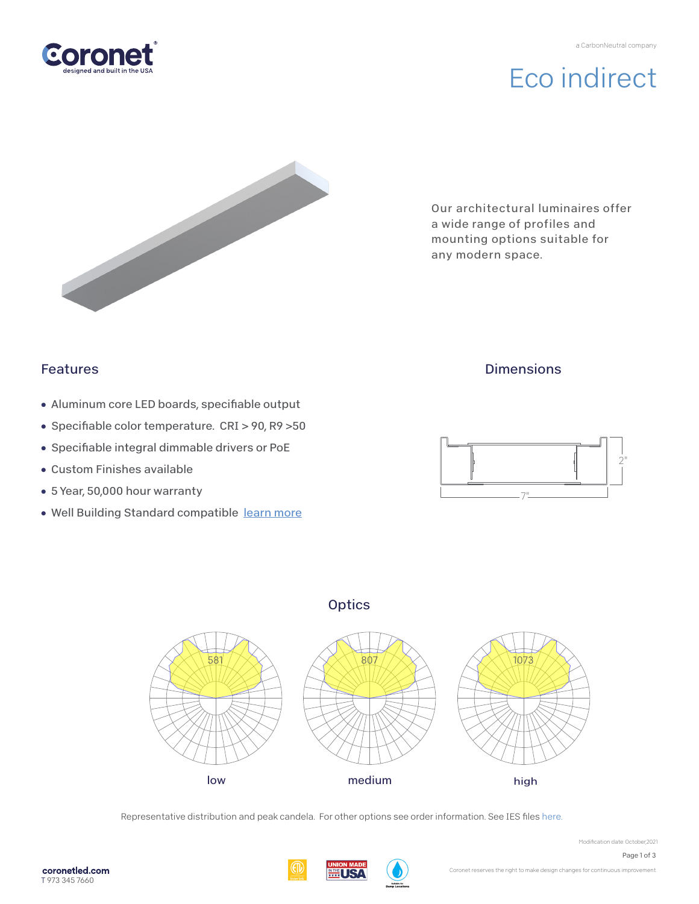

# Eco indirect



Our architectural luminaires offer a wide range of profiles and mounting options suitable for any modern space.

## Features

- Aluminum core LED boards, specifiable output
- Specifiable color temperature. CRI > 90, R9 > 50
- Specifiable integral dimmable drivers or PoE
- Custom Finishes available
- 5 Year, 50,000 hour warranty
- Well Building Standard compatible [learn more](https://coronetled.com/well-v2-standard/)

### **Dimensions**





**Optics** 

Representative distribution and peak candela. For other options see order information. See IES file[s here.](https://coronetled.com/downloads/)

豐USA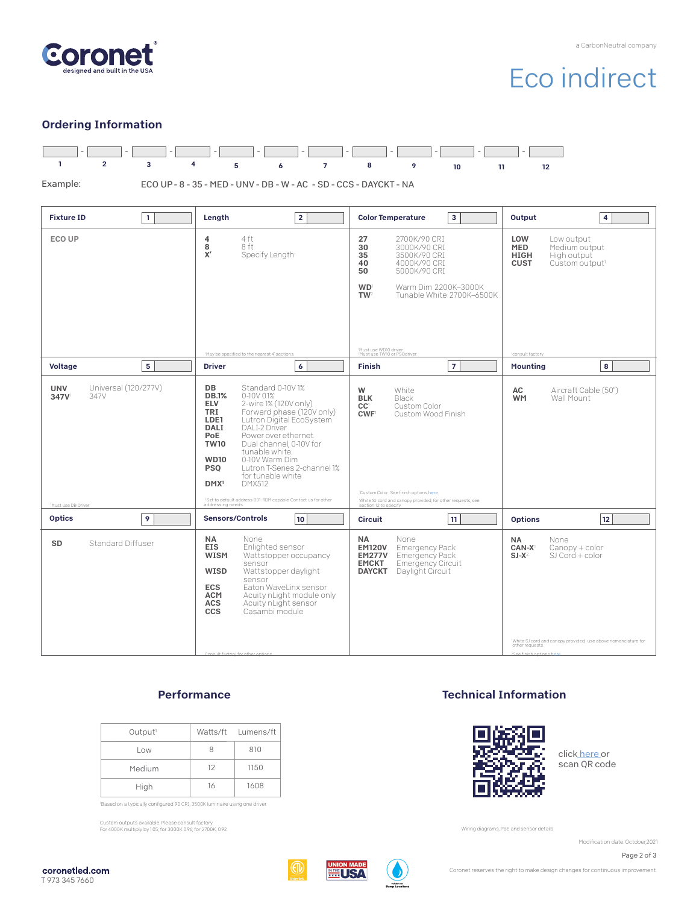

# Eco indirect

### Ordering Information



### **Performance**

| Output <sup>1</sup> |    | Watts/ft Lumens/ft |
|---------------------|----|--------------------|
| Low                 | 8  | 810                |
| Medium              | 12 | 1150               |
| High                | 16 | 1608               |

'Based on a typically configured 90 CRI, 3500K luminaire using one driver.

Custom outputs available. Please consult factory. For 4000K multiply by 1.05; for 3000K 0.96; for 2700K, 0.92.

### Technical Information



clic[k here o](https://coronetled.com/warranty-technical-info/)r scan QR code

Wiring diagrams, PoE and sensor details

Modification date: October,2021

Page 2 of 3

coronetled.com T 973 345 7660





Coronet reserves the right to make design changes for continuous improvement.